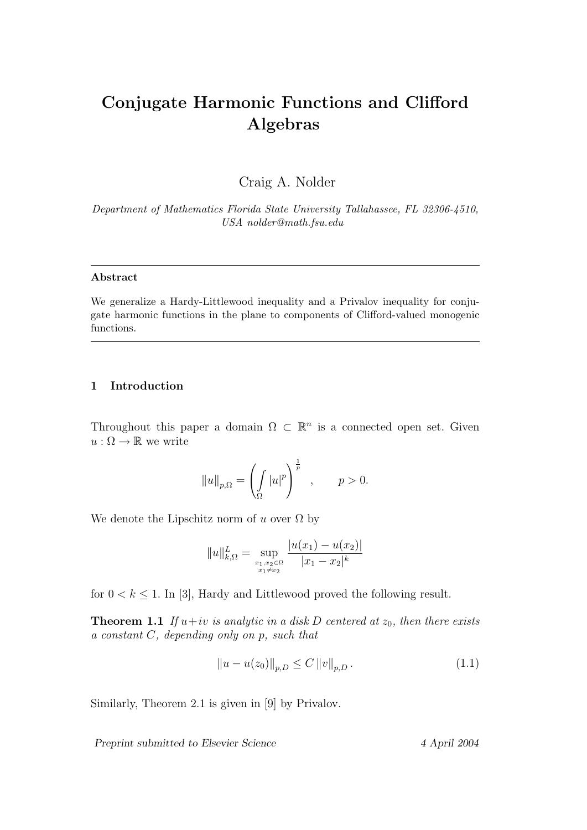# Conjugate Harmonic Functions and Clifford Algebras

Craig A. Nolder

Department of Mathematics Florida State University Tallahassee, FL 32306-4510, USA nolder@math.fsu.edu

### Abstract

We generalize a Hardy-Littlewood inequality and a Privalov inequality for conjugate harmonic functions in the plane to components of Clifford-valued monogenic functions.

## 1 Introduction

Throughout this paper a domain  $\Omega \subset \mathbb{R}^n$  is a connected open set. Given  $u : \Omega \to \mathbb{R}$  we write

$$
||u||_{p,\Omega} = \left(\int_{\Omega} |u|^p\right)^{\frac{1}{p}}, \qquad p > 0.
$$

We denote the Lipschitz norm of u over  $\Omega$  by

$$
||u||_{k,\Omega}^{L} = \sup_{\substack{x_1,x_2 \in \Omega \\ x_1 \neq x_2}} \frac{|u(x_1) - u(x_2)|}{|x_1 - x_2|^k}
$$

for  $0 < k \leq 1$ . In [3], Hardy and Littlewood proved the following result.

**Theorem 1.1** If  $u+iv$  is analytic in a disk D centered at  $z_0$ , then there exists a constant C, depending only on p, such that

$$
||u - u(z_0)||_{p,D} \le C ||v||_{p,D}.
$$
\n(1.1)

Similarly, Theorem 2.1 is given in [9] by Privalov.

Preprint submitted to Elsevier Science 4 April 2004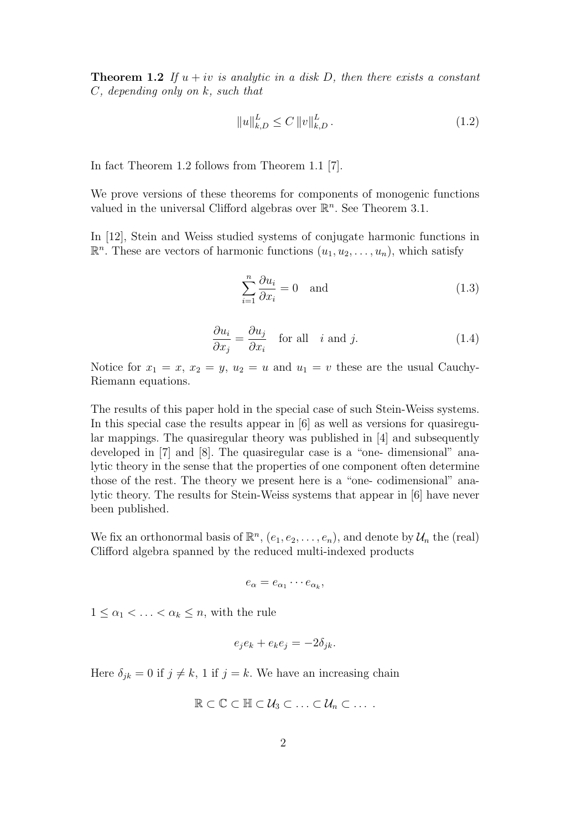**Theorem 1.2** If  $u + iv$  is analytic in a disk D, then there exists a constant C, depending only on k, such that

$$
||u||_{k,D}^{L} \le C ||v||_{k,D}^{L}.
$$
\n(1.2)

In fact Theorem 1.2 follows from Theorem 1.1 [7].

We prove versions of these theorems for components of monogenic functions valued in the universal Clifford algebras over  $\mathbb{R}^n$ . See Theorem 3.1.

In [12], Stein and Weiss studied systems of conjugate harmonic functions in  $\mathbb{R}^n$ . These are vectors of harmonic functions  $(u_1, u_2, \ldots, u_n)$ , which satisfy

$$
\sum_{i=1}^{n} \frac{\partial u_i}{\partial x_i} = 0 \quad \text{and} \tag{1.3}
$$

$$
\frac{\partial u_i}{\partial x_j} = \frac{\partial u_j}{\partial x_i} \quad \text{for all} \quad i \text{ and } j. \tag{1.4}
$$

Notice for  $x_1 = x$ ,  $x_2 = y$ ,  $u_2 = u$  and  $u_1 = v$  these are the usual Cauchy-Riemann equations.

The results of this paper hold in the special case of such Stein-Weiss systems. In this special case the results appear in [6] as well as versions for quasiregular mappings. The quasiregular theory was published in [4] and subsequently developed in [7] and [8]. The quasiregular case is a "one- dimensional" analytic theory in the sense that the properties of one component often determine those of the rest. The theory we present here is a "one- codimensional" analytic theory. The results for Stein-Weiss systems that appear in [6] have never been published.

We fix an orthonormal basis of  $\mathbb{R}^n$ ,  $(e_1, e_2, \ldots, e_n)$ , and denote by  $\mathcal{U}_n$  the (real) Clifford algebra spanned by the reduced multi-indexed products

$$
e_{\alpha}=e_{\alpha_1}\cdots e_{\alpha_k},
$$

 $1 \leq \alpha_1 < \ldots < \alpha_k \leq n$ , with the rule

$$
e_j e_k + e_k e_j = -2\delta_{jk}.
$$

Here  $\delta_{jk} = 0$  if  $j \neq k$ , 1 if  $j = k$ . We have an increasing chain

$$
\mathbb{R}\subset\mathbb{C}\subset\mathbb{H}\subset\mathcal{U}_3\subset\ldots\subset\mathcal{U}_n\subset\ldots.
$$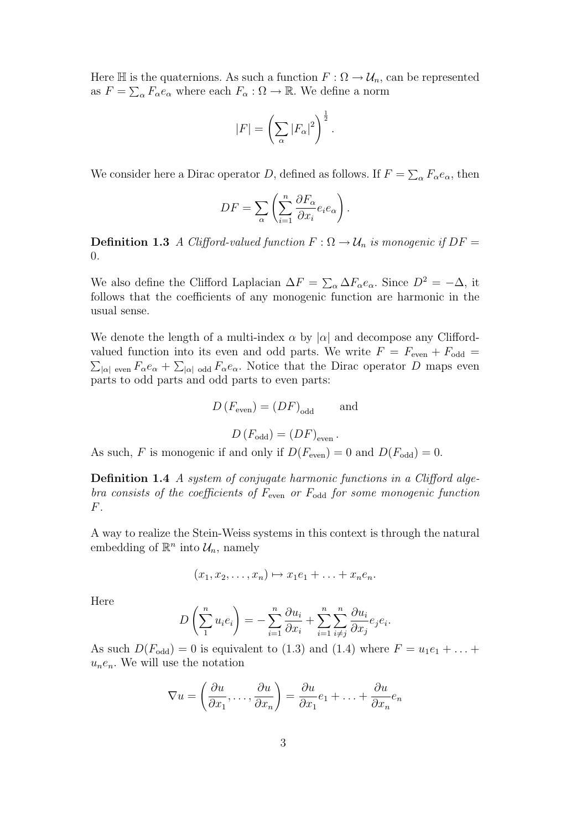Here  $\mathbb H$  is the quaternions. As such a function  $F : \Omega \to \mathcal U_n$ , can be represented as  $F = \sum_{\alpha} F_{\alpha} e_{\alpha}$  where each  $F_{\alpha} : \Omega \to \mathbb{R}$ . We define a norm

$$
|F| = \left(\sum_{\alpha} |F_{\alpha}|^2\right)^{\frac{1}{2}}.
$$

We consider here a Dirac operator D, defined as follows. If  $F = \sum_{\alpha} F_{\alpha} e_{\alpha}$ , then

$$
DF = \sum_{\alpha} \left( \sum_{i=1}^{n} \frac{\partial F_{\alpha}}{\partial x_{i}} e_{i} e_{\alpha} \right).
$$

**Definition 1.3** A Clifford-valued function  $F : \Omega \to \mathcal{U}_n$  is monogenic if  $DF =$ 0.

We also define the Clifford Laplacian  $\Delta F = \sum_{\alpha} \Delta F_{\alpha} e_{\alpha}$ . Since  $D^2 = -\Delta$ , it follows that the coefficients of any monogenic function are harmonic in the usual sense.

We denote the length of a multi-index  $\alpha$  by  $|\alpha|$  and decompose any Cliffordvalued function into its even and odd parts. We write  $F = F_{\text{even}} + F_{\text{odd}} =$  $\sum_{|\alpha| \text{ even}} F_{\alpha} e_{\alpha} + \sum_{|\alpha| \text{ odd}} F_{\alpha} e_{\alpha}$ . Notice that the Dirac operator D maps even parts to odd parts and odd parts to even parts:

$$
D(F_{\text{even}}) = (DF)_{\text{odd}} \quad \text{and}
$$

$$
D(F_{\text{odd}}) = (DF)_{\text{even}}.
$$

As such, F is monogenic if and only if  $D(F_{\text{even}}) = 0$  and  $D(F_{\text{odd}}) = 0$ .

Definition 1.4 A system of conjugate harmonic functions in a Clifford algebra consists of the coefficients of  $F_{\text{even}}$  or  $F_{\text{odd}}$  for some monogenic function F.

A way to realize the Stein-Weiss systems in this context is through the natural embedding of  $\mathbb{R}^n$  into  $\mathcal{U}_n$ , namely

$$
(x_1,x_2,\ldots,x_n)\mapsto x_1e_1+\ldots+x_ne_n.
$$

Here

$$
D\left(\sum_{1}^{n} u_i e_i\right) = -\sum_{i=1}^{n} \frac{\partial u_i}{\partial x_i} + \sum_{i=1}^{n} \sum_{i \neq j}^{n} \frac{\partial u_i}{\partial x_j} e_j e_i.
$$

As such  $D(F_{odd}) = 0$  is equivalent to (1.3) and (1.4) where  $F = u_1e_1 + ...$  $u_ne_n$ . We will use the notation

$$
\nabla u = \left(\frac{\partial u}{\partial x_1}, \dots, \frac{\partial u}{\partial x_n}\right) = \frac{\partial u}{\partial x_1}e_1 + \dots + \frac{\partial u}{\partial x_n}e_n
$$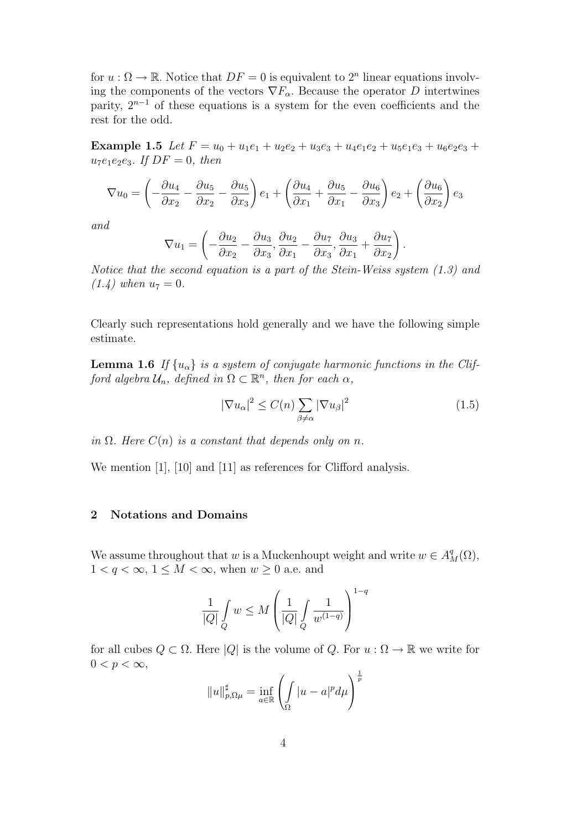for  $u : \Omega \to \mathbb{R}$ . Notice that  $DF = 0$  is equivalent to  $2^n$  linear equations involving the components of the vectors  $\nabla F_\alpha$ . Because the operator D intertwines parity,  $2^{n-1}$  of these equations is a system for the even coefficients and the rest for the odd.

Example 1.5 Let  $F = u_0 + u_1e_1 + u_2e_2 + u_3e_3 + u_4e_1e_2 + u_5e_1e_3 + u_6e_2e_3 +$  $u_7e_1e_2e_3$ . If  $DF = 0$ , then

$$
\nabla u_0 = \left(-\frac{\partial u_4}{\partial x_2} - \frac{\partial u_5}{\partial x_2} - \frac{\partial u_5}{\partial x_3}\right) e_1 + \left(\frac{\partial u_4}{\partial x_1} + \frac{\partial u_5}{\partial x_1} - \frac{\partial u_6}{\partial x_3}\right) e_2 + \left(\frac{\partial u_6}{\partial x_2}\right) e_3
$$

and

$$
\nabla u_1 = \left(-\frac{\partial u_2}{\partial x_2} - \frac{\partial u_3}{\partial x_3}, \frac{\partial u_2}{\partial x_1} - \frac{\partial u_7}{\partial x_3}, \frac{\partial u_3}{\partial x_1} + \frac{\partial u_7}{\partial x_2}\right)
$$

Notice that the second equation is a part of the Stein-Weiss system (1.3) and  $(1.4)$  when  $u_7 = 0$ .

Clearly such representations hold generally and we have the following simple estimate.

**Lemma 1.6** If  $\{u_{\alpha}\}\$ is a system of conjugate harmonic functions in the Clifford algebra  $\mathcal{U}_n$ , defined in  $\Omega \subset \mathbb{R}^n$ , then for each  $\alpha$ ,

$$
|\nabla u_{\alpha}|^2 \le C(n) \sum_{\beta \ne \alpha} |\nabla u_{\beta}|^2 \tag{1.5}
$$

.

in  $\Omega$ . Here  $C(n)$  is a constant that depends only on n.

We mention [1], [10] and [11] as references for Clifford analysis.

#### 2 Notations and Domains

We assume throughout that w is a Muckenhoupt weight and write  $w \in A_M^q(\Omega)$ ,  $1 < q < \infty$ ,  $1 \leq M < \infty$ , when  $w \geq 0$  a.e. and

$$
\frac{1}{|Q|} \int\limits_Q w \leq M \left( \frac{1}{|Q|} \int\limits_Q \frac{1}{w^{(1-q)}} \right)^{1-q}
$$

for all cubes  $Q \subset \Omega$ . Here  $|Q|$  is the volume of Q. For  $u : \Omega \to \mathbb{R}$  we write for  $0 < p < \infty$ ,

$$
||u||_{p,\Omega\mu}^{\sharp} = \inf_{a \in \mathbb{R}} \left( \int_{\Omega} |u - a|^p d\mu \right)^{\frac{1}{p}}
$$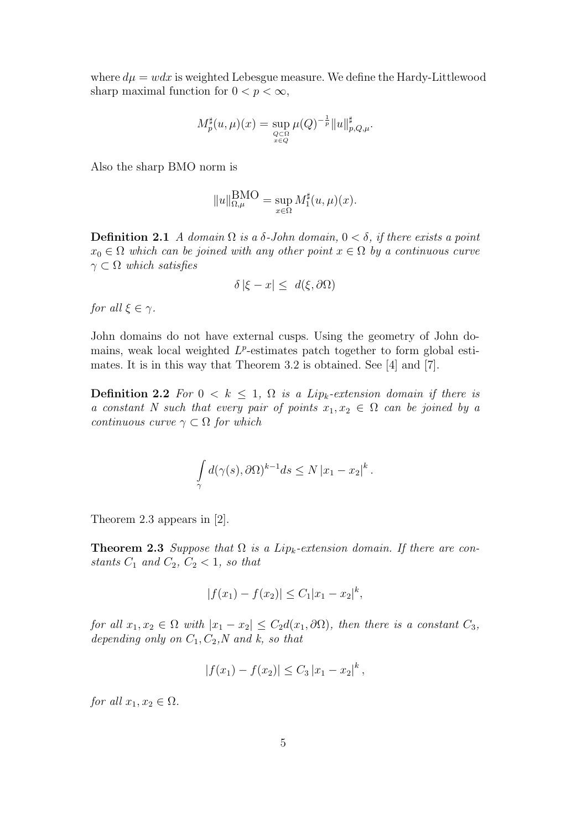where  $d\mu = w dx$  is weighted Lebesgue measure. We define the Hardy-Littlewood sharp maximal function for  $0 < p < \infty$ ,

$$
M_p^{\sharp}(u,\mu)(x) = \sup_{Q \subset \Omega \atop x \in Q} \mu(Q)^{-\frac{1}{p}} \|u\|_{p,Q,\mu}^{\sharp}.
$$

Also the sharp BMO norm is

$$
||u||_{\Omega,\mu}^{\text{BMO}} = \sup_{x \in \Omega} M_1^{\sharp}(u,\mu)(x).
$$

**Definition 2.1** A domain  $\Omega$  is a  $\delta$ -John domain,  $0 < \delta$ , if there exists a point  $x_0 \in \Omega$  which can be joined with any other point  $x \in \Omega$  by a continuous curve  $\gamma \subset \Omega$  which satisfies

$$
\delta |\xi - x| \leq d(\xi, \partial \Omega)
$$

for all  $\xi \in \gamma$ .

John domains do not have external cusps. Using the geometry of John domains, weak local weighted  $L^p$ -estimates patch together to form global estimates. It is in this way that Theorem 3.2 is obtained. See [4] and [7].

**Definition 2.2** For  $0 \leq k \leq 1$ ,  $\Omega$  is a Lip<sub>k</sub>-extension domain if there is a constant N such that every pair of points  $x_1, x_2 \in \Omega$  can be joined by a continuous curve  $\gamma \subset \Omega$  for which

$$
\int_{\gamma} d(\gamma(s), \partial \Omega)^{k-1} ds \leq N |x_1 - x_2|^k.
$$

Theorem 2.3 appears in [2].

**Theorem 2.3** Suppose that  $\Omega$  is a Lip<sub>k</sub>-extension domain. If there are constants  $C_1$  and  $C_2$ ,  $C_2 < 1$ , so that

$$
|f(x_1) - f(x_2)| \le C_1 |x_1 - x_2|^k,
$$

for all  $x_1, x_2 \in \Omega$  with  $|x_1 - x_2| \leq C_2 d(x_1, \partial \Omega)$ , then there is a constant  $C_3$ , depending only on  $C_1, C_2, N$  and k, so that

$$
|f(x_1)-f(x_2)|\leq C_3|x_1-x_2|^k\,,
$$

for all  $x_1, x_2 \in \Omega$ .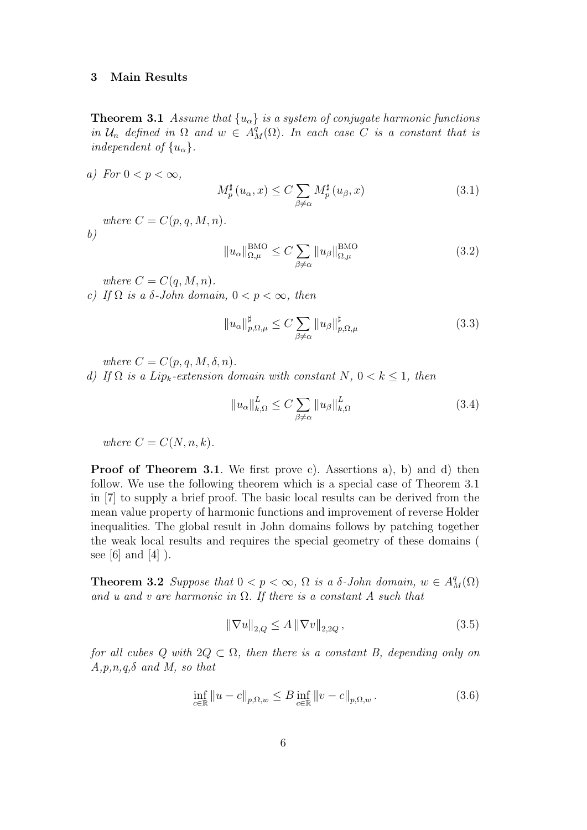#### 3 Main Results

**Theorem 3.1** Assume that  $\{u_{\alpha}\}\$ is a system of conjugate harmonic functions in  $\mathcal{U}_n$  defined in  $\Omega$  and  $w \in A^q_M(\Omega)$ . In each case C is a constant that is independent of  $\{u_{\alpha}\}.$ 

a) For  $0 < p < \infty$ ,

 $b)$ 

$$
M_p^{\sharp}(u_{\alpha}, x) \le C \sum_{\beta \neq \alpha} M_p^{\sharp}(u_{\beta}, x)
$$
\n(3.1)

where  $C = C(p, q, M, n)$ .

 $||u_{\alpha}||_{\Omega,\mu}^{\text{BMO}} \leq C \sum$  $\beta \neq \alpha$  $||u_{\beta}||_{\Omega,\mu}^{\text{BMO}}$  $\Omega, \mu$ (3.2)

where  $C = C(q, M, n)$ .

c) If  $\Omega$  is a  $\delta$ -John domain,  $0 < p < \infty$ , then

$$
||u_{\alpha}||_{p,\Omega,\mu}^{\sharp} \le C \sum_{\beta \neq \alpha} ||u_{\beta}||_{p,\Omega,\mu}^{\sharp}
$$
\n(3.3)

where  $C = C(p, q, M, \delta, n)$ .

d) If  $\Omega$  is a Lip<sub>k</sub>-extension domain with constant N,  $0 < k \leq 1$ , then

$$
||u_{\alpha}||_{k,\Omega}^{L} \leq C \sum_{\beta \neq \alpha} ||u_{\beta}||_{k,\Omega}^{L}
$$
\n(3.4)

where  $C = C(N, n, k)$ .

**Proof of Theorem 3.1.** We first prove c). Assertions a), b) and d) then follow. We use the following theorem which is a special case of Theorem 3.1 in [7] to supply a brief proof. The basic local results can be derived from the mean value property of harmonic functions and improvement of reverse Holder inequalities. The global result in John domains follows by patching together the weak local results and requires the special geometry of these domains ( see [6] and  $[4]$  ).

**Theorem 3.2** Suppose that  $0 < p < \infty$ ,  $\Omega$  is a  $\delta$ -John domain,  $w \in A^q_M(\Omega)$ and u and v are harmonic in  $\Omega$ . If there is a constant A such that

$$
\|\nabla u\|_{2,Q} \le A \|\nabla v\|_{2,2Q},\tag{3.5}
$$

for all cubes Q with  $2Q \subset \Omega$ , then there is a constant B, depending only on  $A, p, n, q, \delta$  and M, so that

$$
\inf_{c \in \mathbb{R}} \|u - c\|_{p, \Omega, w} \le B \inf_{c \in \mathbb{R}} \|v - c\|_{p, \Omega, w}.
$$
\n(3.6)